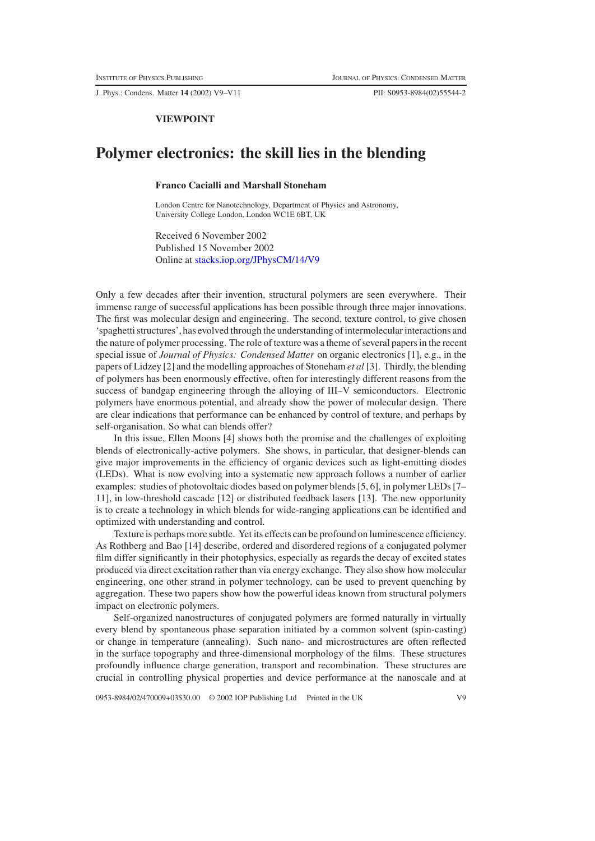J. Phys.: Condens. Matter **14** (2002) V9–V11 PII: S0953-8984(02)55544-2

## **VIEWPOINT**

## **Polymer electronics: the skill lies in the blending**

## **Franco Cacialli and Marshall Stoneham**

London Centre for Nanotechnology, Department of Physics and Astronomy, University College London, London WC1E 6BT, UK

Received 6 November 2002 Published 15 November 2002 Online at <stacks.iop.org/JPhysCM/14/V9>

Only a few decades after their invention, structural polymers are seen everywhere. Their immense range of successful applications has been possible through three major innovations. The first was molecular design and engineering. The second, texture control, to give chosen 'spaghetti structures', has evolved through the understanding of intermolecular interactions and the nature of polymer processing. The role of texture was a theme of several papers in the recent special issue of *Journal of Physics: Condensed Matter* on organic electronics [1], e.g., in the papers of Lidzey [2] and the modelling approaches of Stoneham *et al* [3]. Thirdly, the blending of polymers has been enormously effective, often for interestingly different reasons from the success of bandgap engineering through the alloying of III–V semiconductors. Electronic polymers have enormous potential, and already show the power of molecular design. There are clear indications that performance can be enhanced by control of texture, and perhaps by self-organisation. So what can blends offer?

In this issue, Ellen Moons [4] shows both the promise and the challenges of exploiting blends of electronically-active polymers. She shows, in particular, that designer-blends can give major improvements in the efficiency of organic devices such as light-emitting diodes (LEDs). What is now evolving into a systematic new approach follows a number of earlier examples: studies of photovoltaic diodes based on polymer blends [5, 6], in polymer LEDs [7– 11], in low-threshold cascade [12] or distributed feedback lasers [13]. The new opportunity is to create a technology in which blends for wide-ranging applications can be identified and optimized with understanding and control.

Texture is perhaps more subtle. Yet its effects can be profound on luminescence efficiency. As Rothberg and Bao [14] describe, ordered and disordered regions of a conjugated polymer film differ significantly in their photophysics, especially as regards the decay of excited states produced via direct excitation rather than via energy exchange. They also show how molecular engineering, one other strand in polymer technology, can be used to prevent quenching by aggregation. These two papers show how the powerful ideas known from structural polymers impact on electronic polymers.

Self-organized nanostructures of conjugated polymers are formed naturally in virtually every blend by spontaneous phase separation initiated by a common solvent (spin-casting) or change in temperature (annealing). Such nano- and microstructures are often reflected in the surface topography and three-dimensional morphology of the films. These structures profoundly influence charge generation, transport and recombination. These structures are crucial in controlling physical properties and device performance at the nanoscale and at

0953-8984/02/470009+03\$30.00 © 2002 IOP Publishing Ltd Printed in the UK V9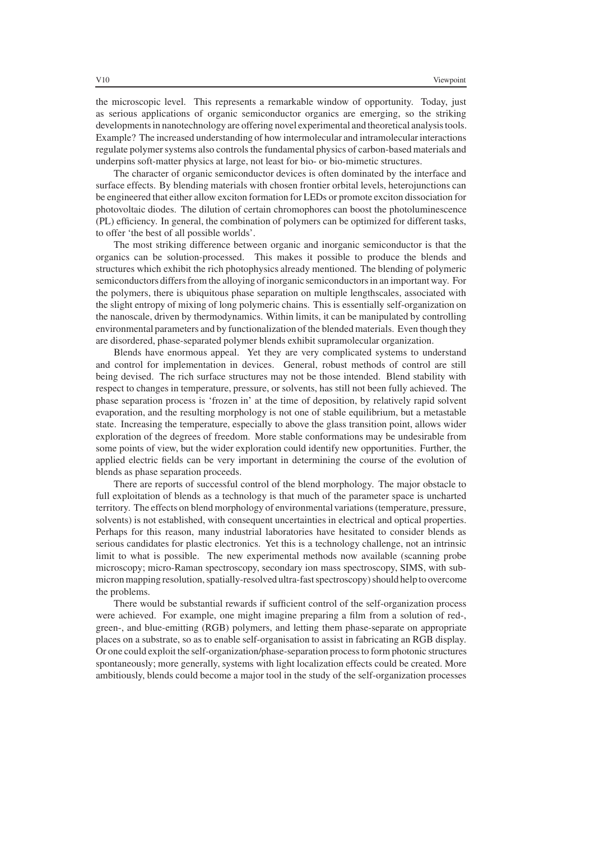the microscopic level. This represents a remarkable window of opportunity. Today, just as serious applications of organic semiconductor organics are emerging, so the striking developments in nanotechnology are offering novel experimental and theoretical analysis tools. Example? The increased understanding of how intermolecular and intramolecular interactions regulate polymer systems also controls the fundamental physics of carbon-based materials and underpins soft-matter physics at large, not least for bio- or bio-mimetic structures.

The character of organic semiconductor devices is often dominated by the interface and surface effects. By blending materials with chosen frontier orbital levels, heterojunctions can be engineered that either allow exciton formation for LEDs or promote exciton dissociation for photovoltaic diodes. The dilution of certain chromophores can boost the photoluminescence (PL) efficiency. In general, the combination of polymers can be optimized for different tasks, to offer 'the best of all possible worlds'.

The most striking difference between organic and inorganic semiconductor is that the organics can be solution-processed. This makes it possible to produce the blends and structures which exhibit the rich photophysics already mentioned. The blending of polymeric semiconductors differs from the alloying of inorganic semiconductors in an important way. For the polymers, there is ubiquitous phase separation on multiple lengthscales, associated with the slight entropy of mixing of long polymeric chains. This is essentially self-organization on the nanoscale, driven by thermodynamics. Within limits, it can be manipulated by controlling environmental parameters and by functionalization of the blended materials. Even though they are disordered, phase-separated polymer blends exhibit supramolecular organization.

Blends have enormous appeal. Yet they are very complicated systems to understand and control for implementation in devices. General, robust methods of control are still being devised. The rich surface structures may not be those intended. Blend stability with respect to changes in temperature, pressure, or solvents, has still not been fully achieved. The phase separation process is 'frozen in' at the time of deposition, by relatively rapid solvent evaporation, and the resulting morphology is not one of stable equilibrium, but a metastable state. Increasing the temperature, especially to above the glass transition point, allows wider exploration of the degrees of freedom. More stable conformations may be undesirable from some points of view, but the wider exploration could identify new opportunities. Further, the applied electric fields can be very important in determining the course of the evolution of blends as phase separation proceeds.

There are reports of successful control of the blend morphology. The major obstacle to full exploitation of blends as a technology is that much of the parameter space is uncharted territory. The effects on blend morphology of environmental variations (temperature, pressure, solvents) is not established, with consequent uncertainties in electrical and optical properties. Perhaps for this reason, many industrial laboratories have hesitated to consider blends as serious candidates for plastic electronics. Yet this is a technology challenge, not an intrinsic limit to what is possible. The new experimental methods now available (scanning probe microscopy; micro-Raman spectroscopy, secondary ion mass spectroscopy, SIMS, with submicron mapping resolution, spatially-resolved ultra-fast spectroscopy) should help to overcome the problems.

There would be substantial rewards if sufficient control of the self-organization process were achieved. For example, one might imagine preparing a film from a solution of red-, green-, and blue-emitting (RGB) polymers, and letting them phase-separate on appropriate places on a substrate, so as to enable self-organisation to assist in fabricating an RGB display. Or one could exploit the self-organization/phase-separation process to form photonic structures spontaneously; more generally, systems with light localization effects could be created. More ambitiously, blends could become a major tool in the study of the self-organization processes